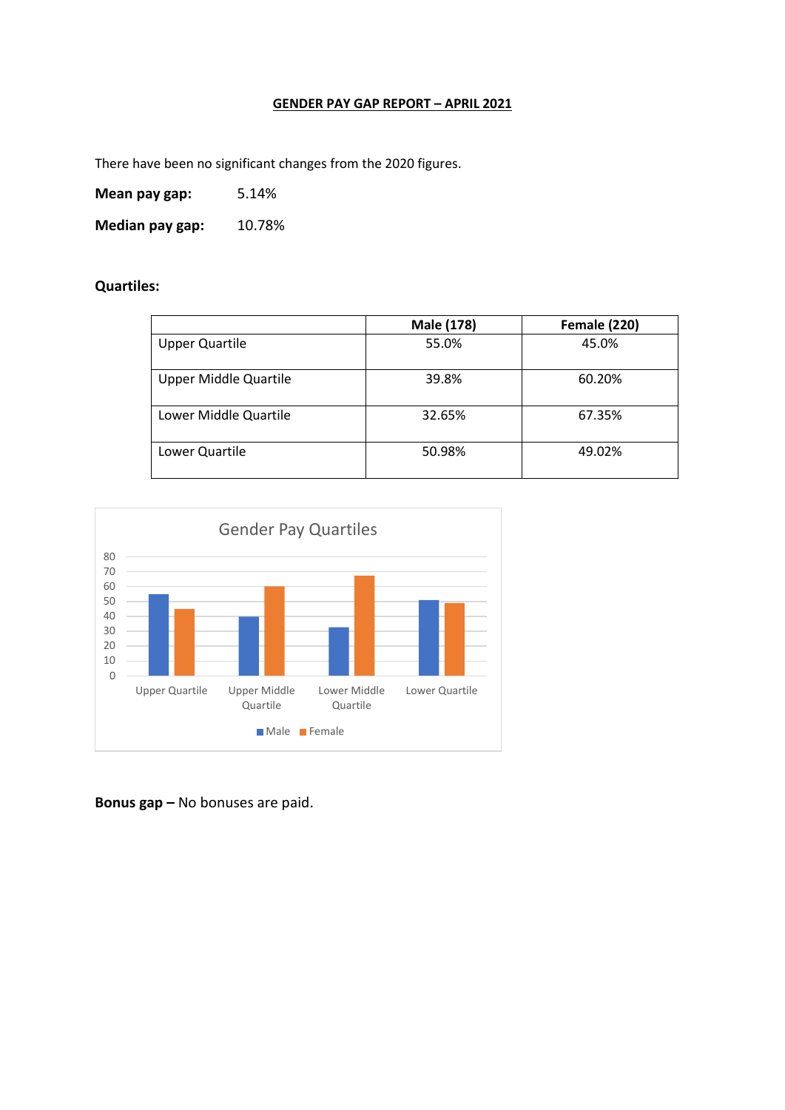## **GENDER PAY GAP REPORT – APRIL 2021**

There have been no significant changes from the 2020 figures.

**Mean pay gap:** 5.14%

Median pay gap: 10.78%

**Quartiles:**

|                              | Male (178) | <b>Female (220)</b> |
|------------------------------|------------|---------------------|
| <b>Upper Quartile</b>        | 55.0%      | 45.0%               |
| <b>Upper Middle Quartile</b> | 39.8%      | 60.20%              |
| Lower Middle Quartile        | 32.65%     | 67.35%              |
| Lower Quartile               | 50.98%     | 49.02%              |



**Bonus gap –** No bonuses are paid.